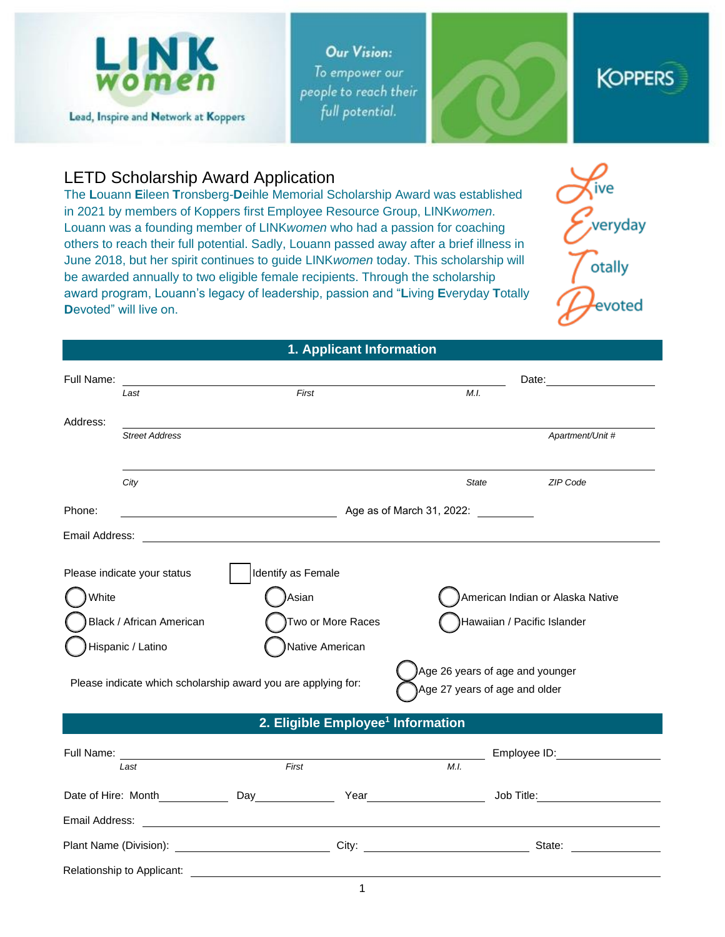

**Our Vision:** To empower our people to reach their full potential.





# LETD Scholarship Award Application

The **L**ouann **E**ileen **T**ronsberg-**D**eihle Memorial Scholarship Award was established in 2021 by members of Koppers first Employee Resource Group, LINK*women*. Louann was a founding member of LINK*women* who had a passion for coaching others to reach their full potential. Sadly, Louann passed away after a brief illness in June 2018, but her spirit continues to guide LINK*women* today. This scholarship will be awarded annually to two eligible female recipients. Through the scholarship award program, Louann's legacy of leadership, passion and "**L**iving **E**veryday **T**otally **D**evoted" will live on.



## **1. Applicant Information**

| Full Name:               |                             |                                                               |                                                                  | Date:                            |
|--------------------------|-----------------------------|---------------------------------------------------------------|------------------------------------------------------------------|----------------------------------|
|                          | Last                        | First                                                         | M.I.                                                             |                                  |
| Address:                 |                             |                                                               |                                                                  |                                  |
|                          | <b>Street Address</b>       |                                                               |                                                                  | Apartment/Unit #                 |
|                          | City                        |                                                               | <b>State</b>                                                     | <b>ZIP Code</b>                  |
| Phone:                   | Age as of March 31, 2022:   |                                                               |                                                                  |                                  |
| Email Address:           |                             |                                                               |                                                                  |                                  |
|                          | Please indicate your status | Identify as Female                                            |                                                                  |                                  |
| White                    |                             | Asian                                                         |                                                                  | American Indian or Alaska Native |
| Black / African American |                             | Two or More Races                                             | Hawaiian / Pacific Islander                                      |                                  |
|                          | Hispanic / Latino           | Native American                                               |                                                                  |                                  |
|                          |                             | Please indicate which scholarship award you are applying for: | Age 26 years of age and younger<br>Age 27 years of age and older |                                  |

#### **2. Eligible Employee<sup>1</sup> Information**

| Full Name:                 |       |       |        | Employee ID: |  |  |
|----------------------------|-------|-------|--------|--------------|--|--|
| Last                       | First |       | M.I.   |              |  |  |
| Date of Hire: Month        | Day   | Year  |        | Job Title:   |  |  |
| Email Address:             |       |       |        |              |  |  |
| Plant Name (Division):     |       | City: | State: |              |  |  |
| Relationship to Applicant: |       |       |        |              |  |  |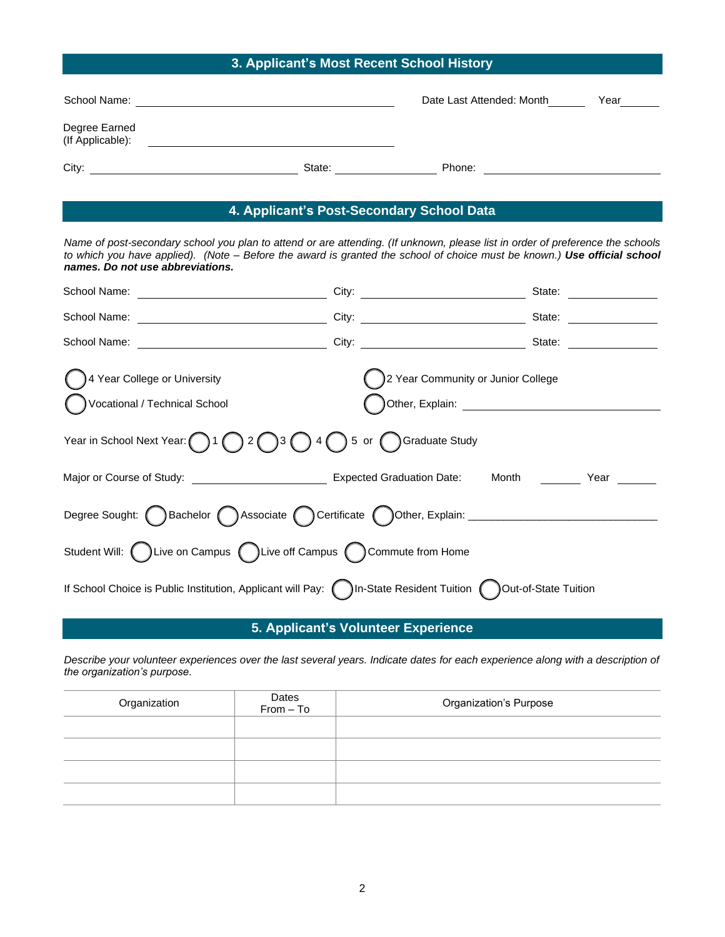# **3. Applicant's Most Recent School History**

| School Name:                      |        | Date Last Attended: Month | Year |
|-----------------------------------|--------|---------------------------|------|
| Degree Earned<br>(If Applicable): |        |                           |      |
| City:                             | State: | Phone:                    |      |

# **4. Applicant's Post-Secondary School Data**

*Name of post-secondary school you plan to attend or are attending. (If unknown, please list in order of preference the schools to which you have applied). (Note – Before the award is granted the school of choice must be known.) Use official school names. Do not use abbreviations.*

| School Name:<br><u> 1980 - Johann Barn, mars an t-Amerikaansk ferske</u>                                       |                                                                                                                                                     | State: |  |
|----------------------------------------------------------------------------------------------------------------|-----------------------------------------------------------------------------------------------------------------------------------------------------|--------|--|
|                                                                                                                |                                                                                                                                                     | State: |  |
| School Name:<br><u> The Communication of the Communication of the Communication of the Communication of</u>    |                                                                                                                                                     | State: |  |
| 4 Year College or University<br>Vocational / Technical School                                                  | 2 Year Community or Junior College<br>Other, Explain: University of the Contract of the Contract of the Contract of the Contract of the Contract of |        |  |
| Year in School Next Year: $\bigcap 1 \bigcap 2 \bigcap 3$<br>5 or Graduate Study<br>34(                        |                                                                                                                                                     |        |  |
|                                                                                                                |                                                                                                                                                     | Year   |  |
| Degree Sought: ( Bachelor ( ) Associate ( ) Certificate ( ) Other, Explain: _______________________            |                                                                                                                                                     |        |  |
| Student Will: (C) Live on Campus (C) Live off Campus (C) Commute from Home                                     |                                                                                                                                                     |        |  |
| If School Choice is Public Institution, Applicant will Pay: nln-State Resident Tuition nl Out-of-State Tuition |                                                                                                                                                     |        |  |

## **5. Applicant's Volunteer Experience**

*Describe your volunteer experiences over the last several years. Indicate dates for each experience along with a description of the organization's purpose.* 

| Organization | Dates<br>From – To | <b>Organization's Purpose</b> |
|--------------|--------------------|-------------------------------|
|              |                    |                               |
|              |                    |                               |
|              |                    |                               |
|              |                    |                               |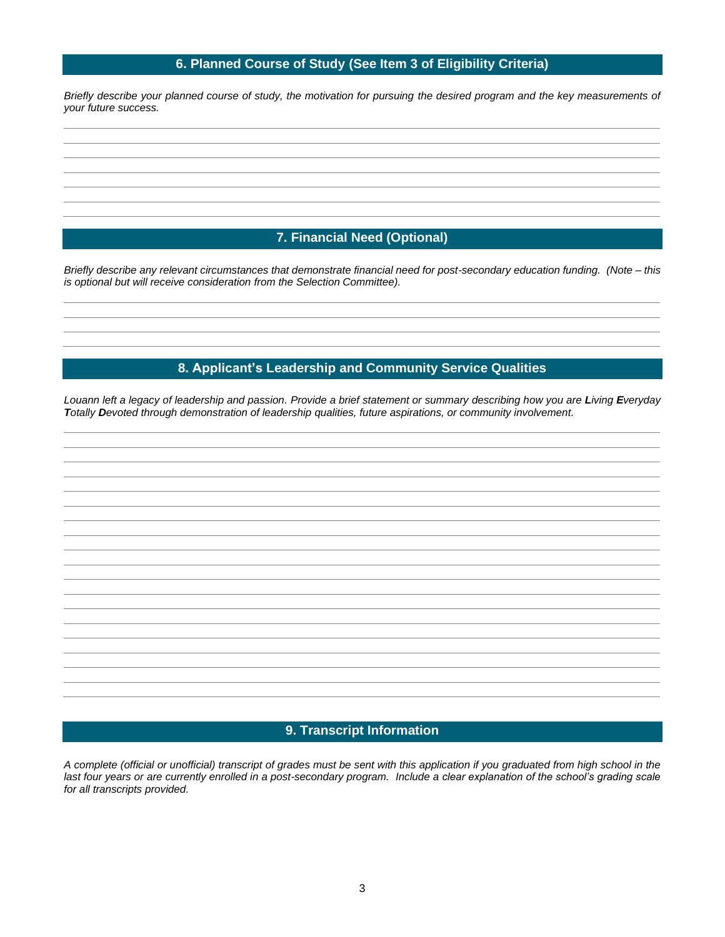### **6. Planned Course of Study (See Item 3 of Eligibility Criteria)**

*Briefly describe your planned course of study, the motivation for pursuing the desired program and the key measurements of your future success.* 

## **7. Financial Need (Optional)**

*Briefly describe any relevant circumstances that demonstrate financial need for post-secondary education funding. (Note – this is optional but will receive consideration from the Selection Committee).*

### **8. Applicant's Leadership and Community Service Qualities**

*Louann left a legacy of leadership and passion. Provide a brief statement or summary describing how you are Living Everyday Totally Devoted through demonstration of leadership qualities, future aspirations, or community involvement.* 

### **9. Transcript Information**

*A complete (official or unofficial) transcript of grades must be sent with this application if you graduated from high school in the last four years or are currently enrolled in a post-secondary program. Include a clear explanation of the school's grading scale for all transcripts provided.*